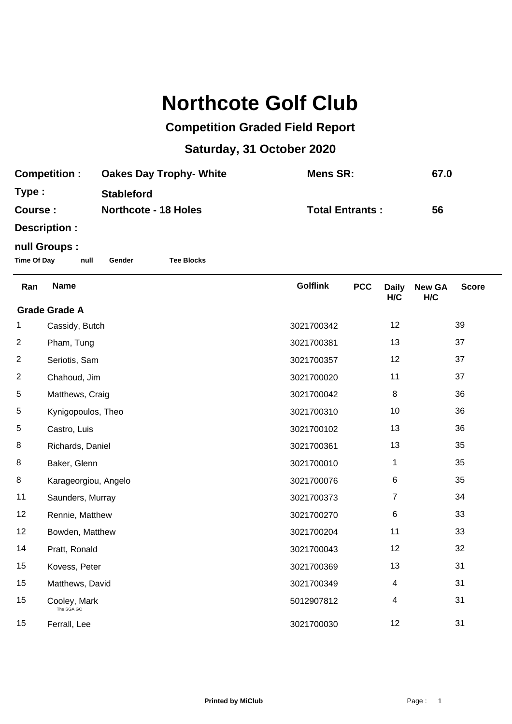## **Northcote Golf Club**

## **Competition Graded Field Report**

## **Saturday, 31 October 2020**

| <b>Competition:</b> | <b>Oakes Day Trophy- White</b> | Mens SR:               | 67.0 |
|---------------------|--------------------------------|------------------------|------|
| Type:               | <b>Stableford</b>              |                        |      |
| Course :            | <b>Northcote - 18 Holes</b>    | <b>Total Entrants:</b> | 56   |
| Doografian :        |                                |                        |      |

**Description :**

## **null Groups :**

**Time Of Day null Gender Tee Blocks**

| Ran                  | <b>Name</b>                | <b>Golflink</b> | <b>PCC</b> | <b>Daily</b><br>H/C | <b>New GA</b><br>H/C | <b>Score</b> |  |
|----------------------|----------------------------|-----------------|------------|---------------------|----------------------|--------------|--|
| <b>Grade Grade A</b> |                            |                 |            |                     |                      |              |  |
| 1.                   | Cassidy, Butch             | 3021700342      |            | 12                  |                      | 39           |  |
| $\overline{2}$       | Pham, Tung                 | 3021700381      |            | 13                  |                      | 37           |  |
| $\overline{2}$       | Seriotis, Sam              | 3021700357      |            | 12                  |                      | 37           |  |
| $\overline{2}$       | Chahoud, Jim               | 3021700020      |            | 11                  |                      | 37           |  |
| 5                    | Matthews, Craig            | 3021700042      |            | 8                   |                      | 36           |  |
| 5                    | Kynigopoulos, Theo         | 3021700310      |            | 10                  |                      | 36           |  |
| 5                    | Castro, Luis               | 3021700102      |            | 13                  |                      | 36           |  |
| 8                    | Richards, Daniel           | 3021700361      |            | 13                  |                      | 35           |  |
| 8                    | Baker, Glenn               | 3021700010      |            | 1                   |                      | 35           |  |
| 8                    | Karageorgiou, Angelo       | 3021700076      |            | 6                   |                      | 35           |  |
| 11                   | Saunders, Murray           | 3021700373      |            | 7                   |                      | 34           |  |
| 12                   | Rennie, Matthew            | 3021700270      |            | 6                   |                      | 33           |  |
| 12                   | Bowden, Matthew            | 3021700204      |            | 11                  |                      | 33           |  |
| 14                   | Pratt, Ronald              | 3021700043      |            | 12                  |                      | 32           |  |
| 15                   | Kovess, Peter              | 3021700369      |            | 13                  |                      | 31           |  |
| 15                   | Matthews, David            | 3021700349      |            | 4                   |                      | 31           |  |
| 15                   | Cooley, Mark<br>The SGA GC | 5012907812      |            | 4                   |                      | 31           |  |
| 15                   | Ferrall, Lee               | 3021700030      |            | 12                  |                      | 31           |  |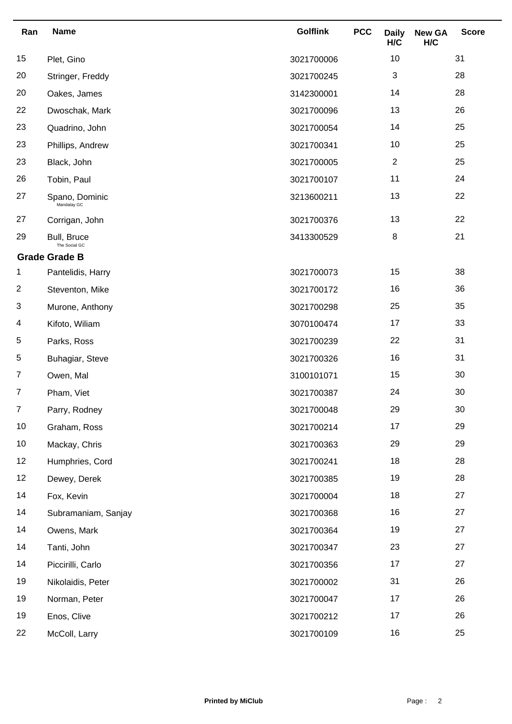| Ran | <b>Name</b>                   | <b>Golflink</b> | <b>PCC</b> | <b>Daily</b><br>H/C | <b>New GA</b><br>H/C | <b>Score</b> |
|-----|-------------------------------|-----------------|------------|---------------------|----------------------|--------------|
| 15  | Plet, Gino                    | 3021700006      |            | 10                  |                      | 31           |
| 20  | Stringer, Freddy              | 3021700245      |            | 3                   |                      | 28           |
| 20  | Oakes, James                  | 3142300001      |            | 14                  |                      | 28           |
| 22  | Dwoschak, Mark                | 3021700096      |            | 13                  |                      | 26           |
| 23  | Quadrino, John                | 3021700054      |            | 14                  |                      | 25           |
| 23  | Phillips, Andrew              | 3021700341      |            | $10$                |                      | 25           |
| 23  | Black, John                   | 3021700005      |            | $\overline{2}$      |                      | 25           |
| 26  | Tobin, Paul                   | 3021700107      |            | 11                  |                      | 24           |
| 27  | Spano, Dominic<br>Mandalay GC | 3213600211      |            | 13                  |                      | 22           |
| 27  | Corrigan, John                | 3021700376      |            | 13                  |                      | 22           |
| 29  | Bull, Bruce<br>The Social GC  | 3413300529      |            | 8                   |                      | 21           |
|     | <b>Grade Grade B</b>          |                 |            |                     |                      |              |
| 1   | Pantelidis, Harry             | 3021700073      |            | 15                  |                      | 38           |
| 2   | Steventon, Mike               | 3021700172      |            | 16                  |                      | 36           |
| 3   | Murone, Anthony               | 3021700298      |            | 25                  |                      | 35           |
| 4   | Kifoto, Wiliam                | 3070100474      |            | 17                  |                      | 33           |
| 5   | Parks, Ross                   | 3021700239      |            | 22                  |                      | 31           |
| 5   | Buhagiar, Steve               | 3021700326      |            | 16                  |                      | 31           |
| 7   | Owen, Mal                     | 3100101071      |            | 15                  |                      | 30           |
| 7   | Pham, Viet                    | 3021700387      |            | 24                  |                      | 30           |
| 7   | Parry, Rodney                 | 3021700048      |            | 29                  |                      | 30           |
| 10  | Graham, Ross                  | 3021700214      |            | 17                  |                      | 29           |
| 10  | Mackay, Chris                 | 3021700363      |            | 29                  |                      | 29           |
| 12  | Humphries, Cord               | 3021700241      |            | 18                  |                      | 28           |
| 12  | Dewey, Derek                  | 3021700385      |            | 19                  |                      | 28           |
| 14  | Fox, Kevin                    | 3021700004      |            | 18                  |                      | 27           |
| 14  | Subramaniam, Sanjay           | 3021700368      |            | 16                  |                      | 27           |
| 14  | Owens, Mark                   | 3021700364      |            | 19                  |                      | 27           |
| 14  | Tanti, John                   | 3021700347      |            | 23                  |                      | 27           |
| 14  | Piccirilli, Carlo             | 3021700356      |            | 17                  |                      | 27           |
| 19  | Nikolaidis, Peter             | 3021700002      |            | 31                  |                      | 26           |
| 19  | Norman, Peter                 | 3021700047      |            | 17                  |                      | 26           |
| 19  | Enos, Clive                   | 3021700212      |            | 17                  |                      | 26           |
| 22  | McColl, Larry                 | 3021700109      |            | 16                  |                      | 25           |